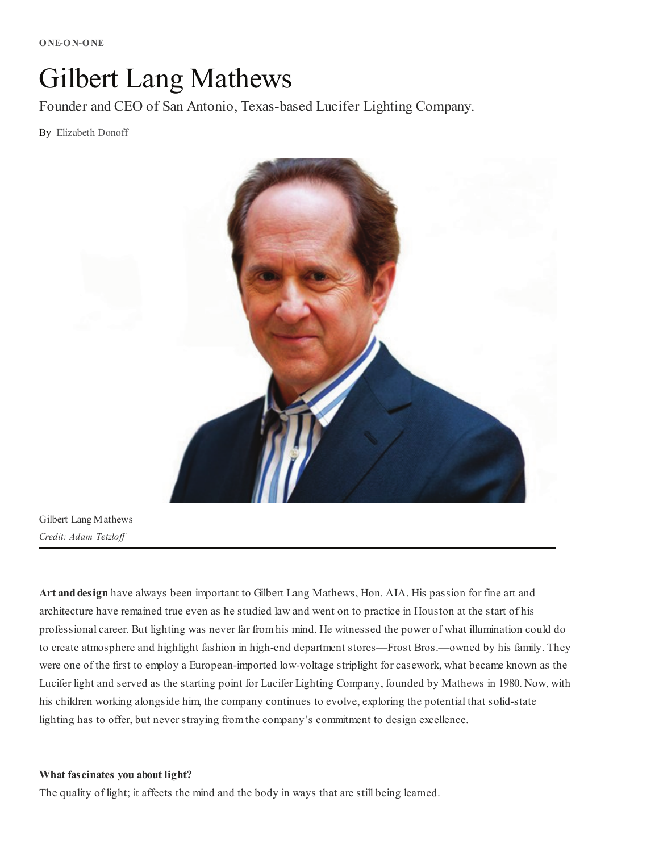# Gilbert Lang Mathews

Founder and CEO of San Antonio, Texas-based Lucifer Lighting Company.

By Elizabeth Donoff



Gilbert Lang Mathews *Credit: Adam Tetzloff*

Art and design have always been important to Gilbert Lang Mathews, Hon. AIA. His passion for fine art and architecture have remained true even as he studied law and went on to practice in Houston at the start of his professional career. But lighting was never far fromhis mind. He witnessed the power of what illumination could do to create atmosphere and highlight fashion in high-end department stores—Frost Bros.—owned by his family. They were one of the first to employ a European-imported low-voltage striplight for casework, what became known as the Lucifer light and served as the starting point for Lucifer Lighting Company, founded by Mathews in 1980. Now, with his children working alongside him, the company continues to evolve, exploring the potential that solid-state lighting has to offer, but never straying fromthe company's commitment to design excellence.

#### What fascinates you about light?

The quality of light; it affects the mind and the body in ways that are still being learned.